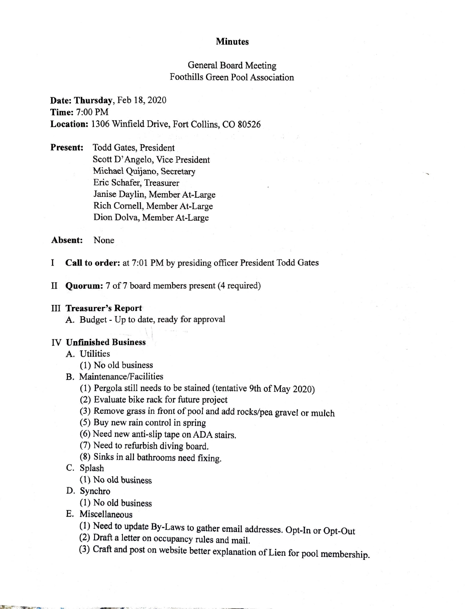#### **Minutes**

# General Board Meeting Foothills Green Pool Association

# **Date: Thursday,** Feb 18, 2020 **Time:** 7:00 PM **Location:** 1306 Winfield Drive, Fort Collins, CO 80526

**Present:** Todd Gates, President Scott D' Angelo, Vice President Michael Quijano, Secretary Eric Schafer, Treasurer Janise Daylin, Member At-Large Rich Cornell, Member At-Large Dion Dolva, Member At-Large

#### **Absent:** None

I **Call to order:** at 7:01 PM by presiding officer President Todd Gates

II **Quorum:** 7 of 7 board members present (4 required)

#### III **Treasurer's Report**

A. Budget - Up to date, ready for approval

• I

## IV **U nfmished Business**

A. Utilities

- (1) No old business
- B. Maintenance/Facilities
	- (1) Pergola still needs to be stained (tentative 9th of May 2020)
	- (2) Evaluate bike rack for future project
	- (3) Remove grass in front of pool and add rocks/pea gravel or mulch
	- (5) Buy new rain control in spring
	- (6) Need new anti-slip tape on ADA stairs.
	- (7) Need to refurbish diving board.
	- (8) Sinks in all bathrooms need fixing.
- C. Splash
	- (l) No old business
- D. Synchro
	- (1) No old business
- E. Miscellaneous
	- (1) Need to update By-Laws to gather email addresses. Opt-In or Opt-Out
	- (2) Draft a letter on occupancy rules and mail.
	- (3) Craft and post on website better explanation of Lien for pool membership.